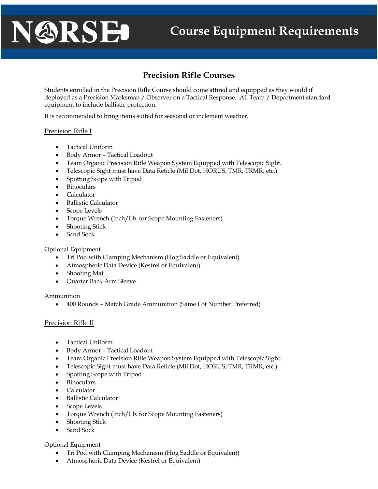# NARSE

# **Precision Rifle Courses**

Students enrolled in the Precision Rifle Course should come attired and equipped as they would if deployed as a Precision Marksman / Observer on a Tactical Response. All Team / Department standard equipment to include ballistic protection.

It is recommended to bring items suited for seasonal or inclement weather.

### Precision Rifle I

- Tactical Uniform
- Body Armor Tactical Loadout
- Team Organic Precision Rifle Weapon System Equipped with Telescopic Sight.
- Telescopic Sight must have Data Reticle (Mil Dot, HORUS, TMR, TRMR, etc.)
- Spotting Scope with Tripod
- Binoculars
- Calculator
- Ballistic Calculator
- Scope Levels
- Torque Wrench (Inch/Lb. for Scope Mounting Fasteners)
- Shooting Stick
- Sand Sock

Optional Equipment

- Tri Pod with Clamping Mechanism (Hog Saddle or Equivalent)
- Atmospheric Data Device (Kestrel or Equivalent)
- Shooting Mat
- Quarter Back Arm Sleeve

Ammunition

• 400 Rounds – Match Grade Ammunition (Same Lot Number Preferred)

## Precision Rifle II

- Tactical Uniform
- Body Armor Tactical Loadout
- Team Organic Precision Rifle Weapon System Equipped with Telescopic Sight.
- Telescopic Sight must have Data Reticle (Mil Dot, HORUS, TMR, TRMR, etc.)
- Spotting Scope with Tripod
- Binoculars
- Calculator
- Ballistic Calculator
- Scope Levels
- Torque Wrench (Inch/Lb. for Scope Mounting Fasteners)
- Shooting Stick
- Sand Sock

Optional Equipment

- Tri Pod with Clamping Mechanism (Hog Saddle or Equivalent)
- Atmospheric Data Device (Kestrel or Equivalent)